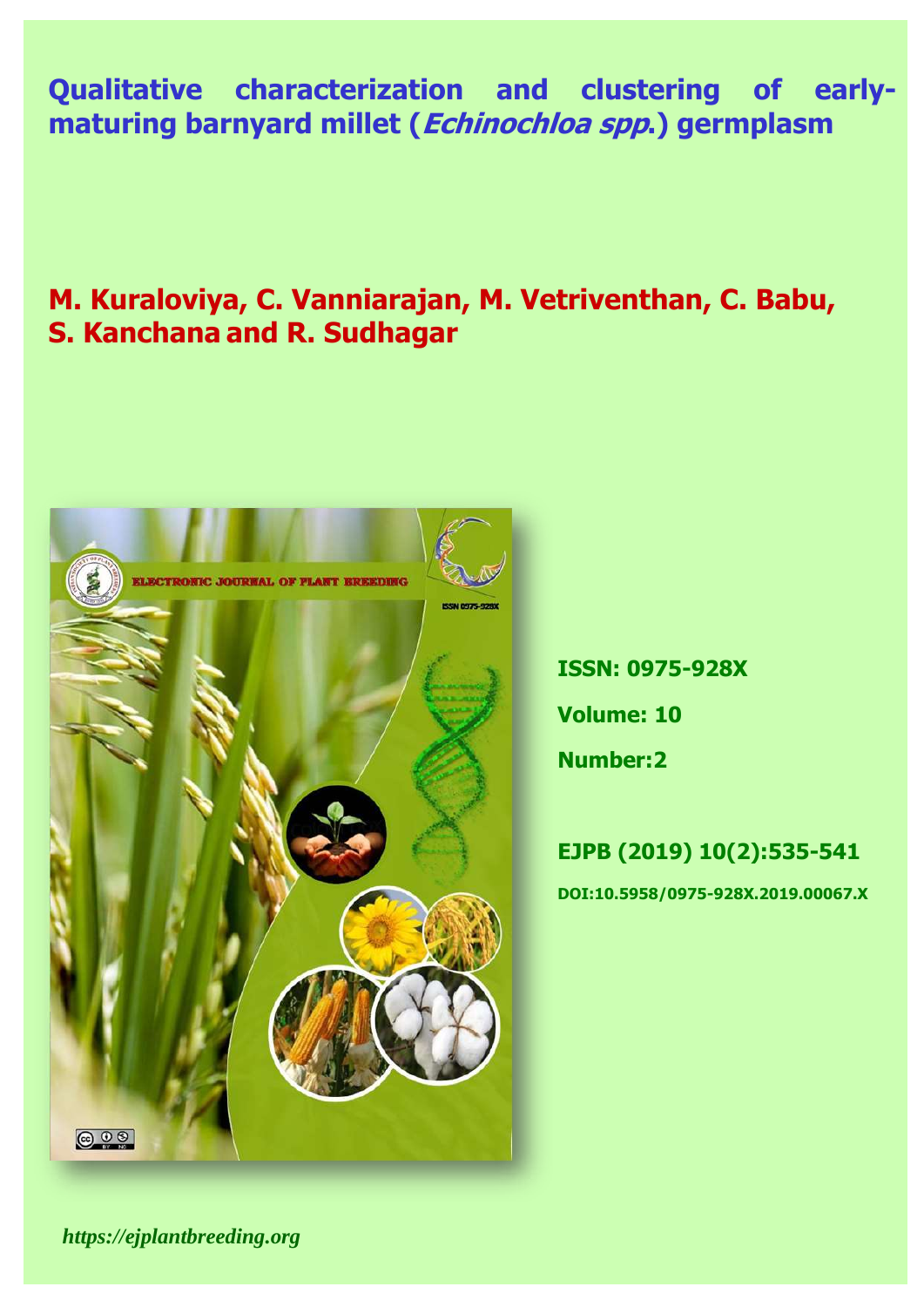## Iug ahayaatoyiyatiga an **Qualitative characterization and clustering of earlymaturing barnyard millet (Echinochloa spp.) germplasm**

# **M. Kuraloviya, C. Vanniarajan, M. Vetriventhan, C. Babu, S. Kanchana and R. Sudhagar**



**ISSN: 0975-928X Volume: 10**

**Number:2**

# **EJPB (2019) 10(2):535-541 DOI:10.5958/0975-928X.2019.00067.X**

*https://ejplantbreeding.org*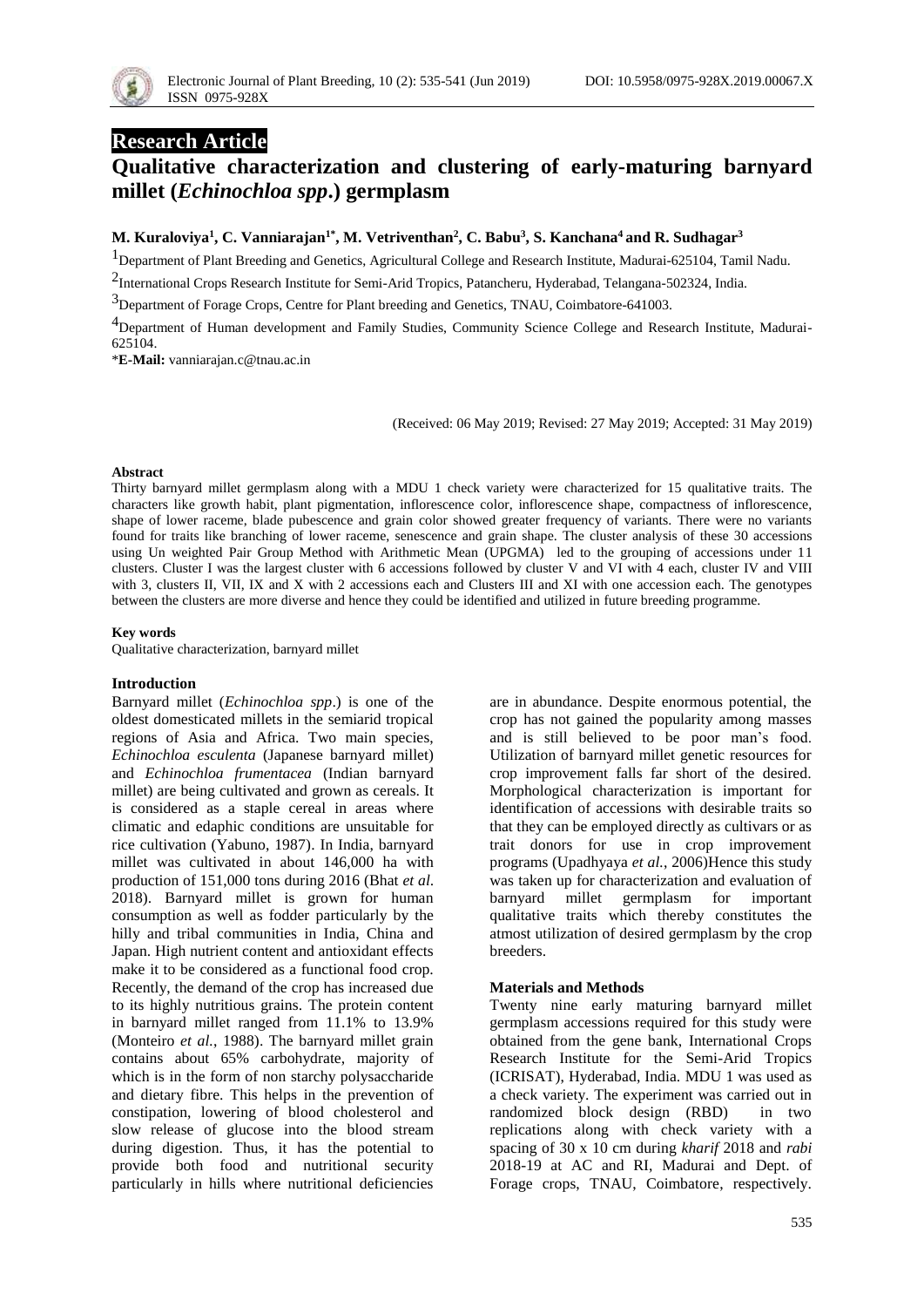

## **Research Article**

## **Qualitative characterization and clustering of early-maturing barnyard millet (***Echinochloa spp***.) germplasm**

#### **M. Kuraloviya<sup>1</sup> , C. Vanniarajan1\* , M. Vetriventhan<sup>2</sup> , C. Babu<sup>3</sup> , S. Kanchana<sup>4</sup> and R. Sudhagar<sup>3</sup>**

1Department of Plant Breeding and Genetics, Agricultural College and Research Institute, Madurai-625104, Tamil Nadu.

2 International Crops Research Institute for Semi-Arid Tropics, Patancheru, Hyderabad, Telangana-502324, India.

<sup>3</sup>Department of Forage Crops, Centre for Plant breeding and Genetics, TNAU, Coimbatore-641003.

<sup>4</sup>Department of Human development and Family Studies, Community Science College and Research Institute, Madurai-625104.

\***E-Mail:** [vanniarajan.c@tnau.ac.in](mailto:vanniarajan.c@tnau.ac.in)

(Received: 06 May 2019; Revised: 27 May 2019; Accepted: 31 May 2019)

#### **Abstract**

Thirty barnyard millet germplasm along with a MDU 1 check variety were characterized for 15 qualitative traits. The characters like growth habit, plant pigmentation, inflorescence color, inflorescence shape, compactness of inflorescence, shape of lower raceme, blade pubescence and grain color showed greater frequency of variants. There were no variants found for traits like branching of lower raceme, senescence and grain shape. The cluster analysis of these 30 accessions using Un weighted Pair Group Method with Arithmetic Mean (UPGMA) led to the grouping of accessions under 11 clusters. Cluster I was the largest cluster with 6 accessions followed by cluster V and VI with 4 each, cluster IV and VIII with 3, clusters II, VII, IX and X with 2 accessions each and Clusters III and XI with one accession each. The genotypes between the clusters are more diverse and hence they could be identified and utilized in future breeding programme.

#### **Key words**

Qualitative characterization, barnyard millet

#### **Introduction**

Barnyard millet (*Echinochloa spp*.) is one of the oldest domesticated millets in the semiarid tropical regions of Asia and Africa. Two main species, *Echinochloa esculenta* (Japanese barnyard millet) and *Echinochloa frumentacea* (Indian barnyard millet) are being cultivated and grown as cereals. It is considered as a staple cereal in areas where climatic and edaphic conditions are unsuitable for rice cultivation (Yabuno, 1987). In India, barnyard millet was cultivated in about 146,000 ha with production of 151,000 tons during 2016 (Bhat *et al*. 2018). Barnyard millet is grown for human consumption as well as fodder particularly by the hilly and tribal communities in India, China and Japan. High nutrient content and antioxidant effects make it to be considered as a functional food crop. Recently, the demand of the crop has increased due to its highly nutritious grains. The protein content in barnyard millet ranged from 11.1% to 13.9% (Monteiro *et al.*, 1988). The barnyard millet grain contains about 65% carbohydrate, majority of which is in the form of non starchy polysaccharide and dietary fibre. This helps in the prevention of constipation, lowering of blood cholesterol and slow release of glucose into the blood stream during digestion. Thus, it has the potential to provide both food and nutritional security particularly in hills where nutritional deficiencies

are in abundance. Despite enormous potential, the crop has not gained the popularity among masses and is still believed to be poor man's food. Utilization of barnyard millet genetic resources for crop improvement falls far short of the desired. Morphological characterization is important for identification of accessions with desirable traits so that they can be employed directly as [cultivars](https://www.sciencedirect.com/topics/agricultural-and-biological-sciences/cultivar) or as trait donors for use in crop improvement programs (Upadhyaya *et al.*, 2006)Hence this study was taken up for characterization and evaluation of barnyard millet germplasm for important qualitative traits which thereby constitutes the atmost utilization of desired germplasm by the crop breeders.

#### **Materials and Methods**

Twenty nine early maturing barnyard millet germplasm accessions required for this study were obtained from the gene bank, International Crops Research Institute for the Semi-Arid Tropics (ICRISAT), Hyderabad, India. MDU 1 was used as a check variety. The experiment was carried out in randomized block design (RBD) in two replications along with check variety with a spacing of 30 x 10 cm during *kharif* 2018 and *rabi* 2018-19 at AC and RI, Madurai and Dept. of Forage crops, TNAU, Coimbatore, respectively.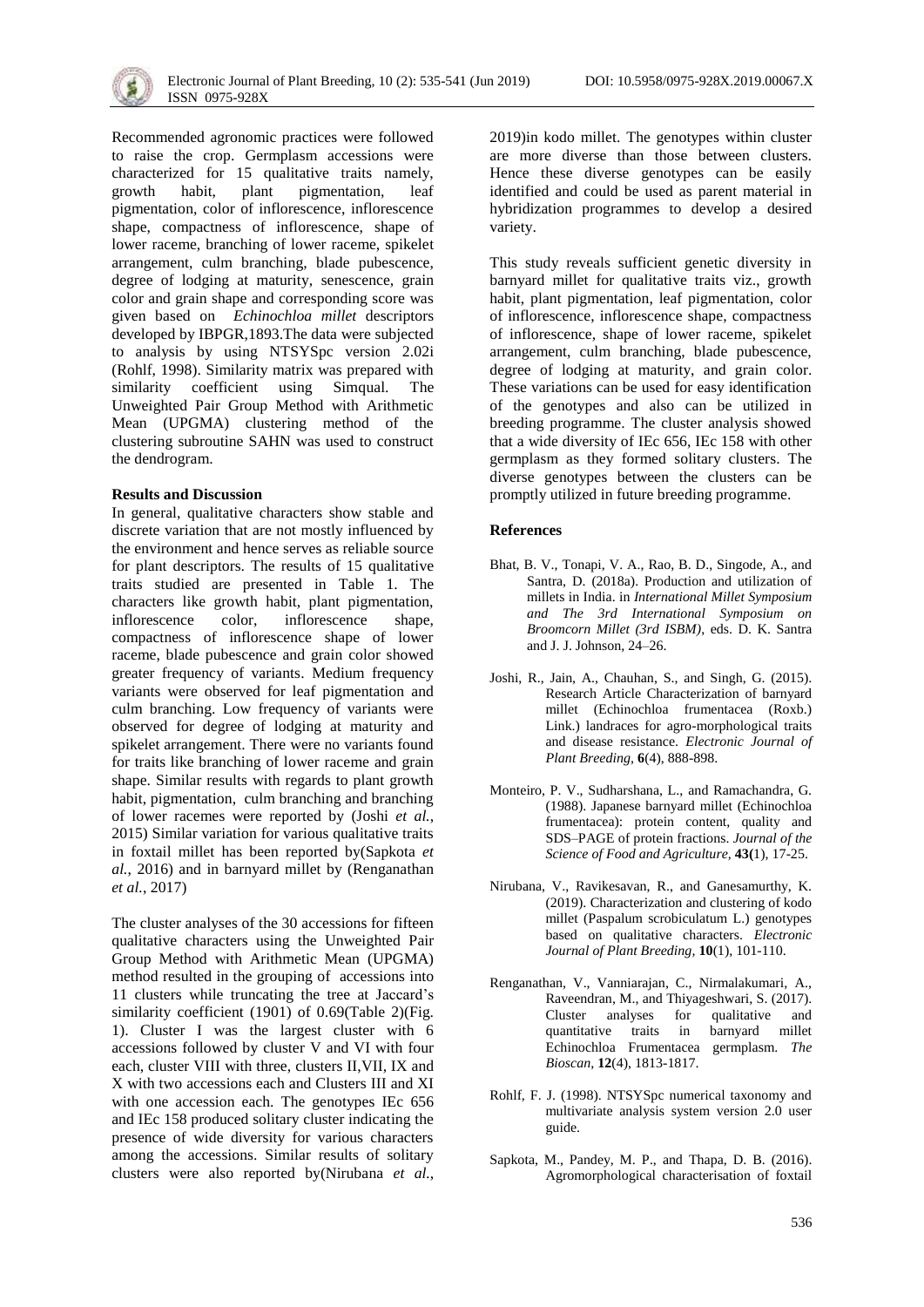Recommended agronomic practices were followed to raise the crop. Germplasm accessions were characterized for 15 qualitative traits namely, growth habit, plant pigmentation, leaf pigmentation, color of inflorescence, inflorescence shape, compactness of inflorescence, shape of lower raceme, branching of lower raceme, spikelet arrangement, culm branching, blade pubescence, degree of lodging at maturity, senescence, grain color and grain shape and corresponding score was given based on *Echinochloa millet* descriptors developed by IBPGR,1893.The data were subjected to analysis by using NTSYSpc version 2.02i (Rohlf, 1998). Similarity matrix was prepared with similarity coefficient using Simqual. The Unweighted Pair Group Method with Arithmetic Mean (UPGMA) clustering method of the clustering subroutine SAHN was used to construct the dendrogram.

#### **Results and Discussion**

In general, qualitative characters show stable and discrete variation that are not mostly influenced by the environment and hence serves as reliable source for plant descriptors. The results of 15 qualitative traits studied are presented in Table 1. The characters like growth habit, plant pigmentation, inflorescence color, inflorescence shape, compactness of inflorescence shape of lower raceme, blade pubescence and grain color showed greater frequency of variants. Medium frequency variants were observed for leaf pigmentation and culm branching. Low frequency of variants were observed for degree of lodging at maturity and spikelet arrangement. There were no variants found for traits like branching of lower raceme and grain shape. Similar results with regards to plant growth habit, pigmentation, culm branching and branching of lower racemes were reported by (Joshi *et al.*, 2015) Similar variation for various qualitative traits in foxtail millet has been reported by(Sapkota *et al.*, 2016) and in barnyard millet by (Renganathan *et al.*, 2017)

The cluster analyses of the 30 accessions for fifteen qualitative characters using the Unweighted Pair Group Method with Arithmetic Mean (UPGMA) method resulted in the grouping of accessions into 11 clusters while truncating the tree at Jaccard's similarity coefficient (1901) of 0.69(Table 2)(Fig. 1). Cluster I was the largest cluster with 6 accessions followed by cluster V and VI with four each, cluster VIII with three, clusters II,VII, IX and X with two accessions each and Clusters III and XI with one accession each. The genotypes IEc 656 and IEc 158 produced solitary cluster indicating the presence of wide diversity for various characters among the accessions. Similar results of solitary clusters were also reported by(Nirubana *et al.*, 2019)in kodo millet. The genotypes within cluster are more diverse than those between clusters. Hence these diverse genotypes can be easily identified and could be used as parent material in hybridization programmes to develop a desired variety.

This study reveals sufficient genetic diversity in barnyard millet for qualitative traits viz., growth habit, plant pigmentation, leaf pigmentation, color of inflorescence, inflorescence shape, compactness of inflorescence, shape of lower raceme, spikelet arrangement, culm branching, blade pubescence, degree of lodging at maturity, and grain color. These variations can be used for easy identification of the genotypes and also can be utilized in breeding programme. The cluster analysis showed that a wide diversity of IEc 656, IEc 158 with other germplasm as they formed solitary clusters. The diverse genotypes between the clusters can be promptly utilized in future breeding programme.

#### **References**

- Bhat, B. V., Tonapi, V. A., Rao, B. D., Singode, A., and Santra, D. (2018a). Production and utilization of millets in India. in *International Millet Symposium and The 3rd International Symposium on Broomcorn Millet (3rd ISBM)*, eds. D. K. Santra and J. J. Johnson, 24–26.
- Joshi, R., Jain, A., Chauhan, S., and Singh, G. (2015). Research Article Characterization of barnyard millet (Echinochloa frumentacea (Roxb.) Link.) landraces for agro-morphological traits and disease resistance. *Electronic Journal of Plant Breeding,* **6**(4), 888-898.
- Monteiro, P. V., Sudharshana, L., and Ramachandra, G. (1988). Japanese barnyard millet (Echinochloa frumentacea): protein content, quality and SDS–PAGE of protein fractions. *Journal of the Science of Food and Agriculture,* **43(**1), 17-25.
- Nirubana, V., Ravikesavan, R., and Ganesamurthy, K. (2019). Characterization and clustering of kodo millet (Paspalum scrobiculatum L.) genotypes based on qualitative characters. *Electronic Journal of Plant Breeding,* **10**(1), 101-110.
- Renganathan, V., Vanniarajan, C., Nirmalakumari, A., Raveendran, M., and Thiyageshwari, S. (2017). Cluster analyses for qualitative and quantitative traits in barnyard millet Echinochloa Frumentacea germplasm. *The Bioscan,* **12**(4), 1813-1817.
- Rohlf, F. J. (1998). NTSYSpc numerical taxonomy and multivariate analysis system version 2.0 user guide.
- Sapkota, M., Pandey, M. P., and Thapa, D. B. (2016). Agromorphological characterisation of foxtail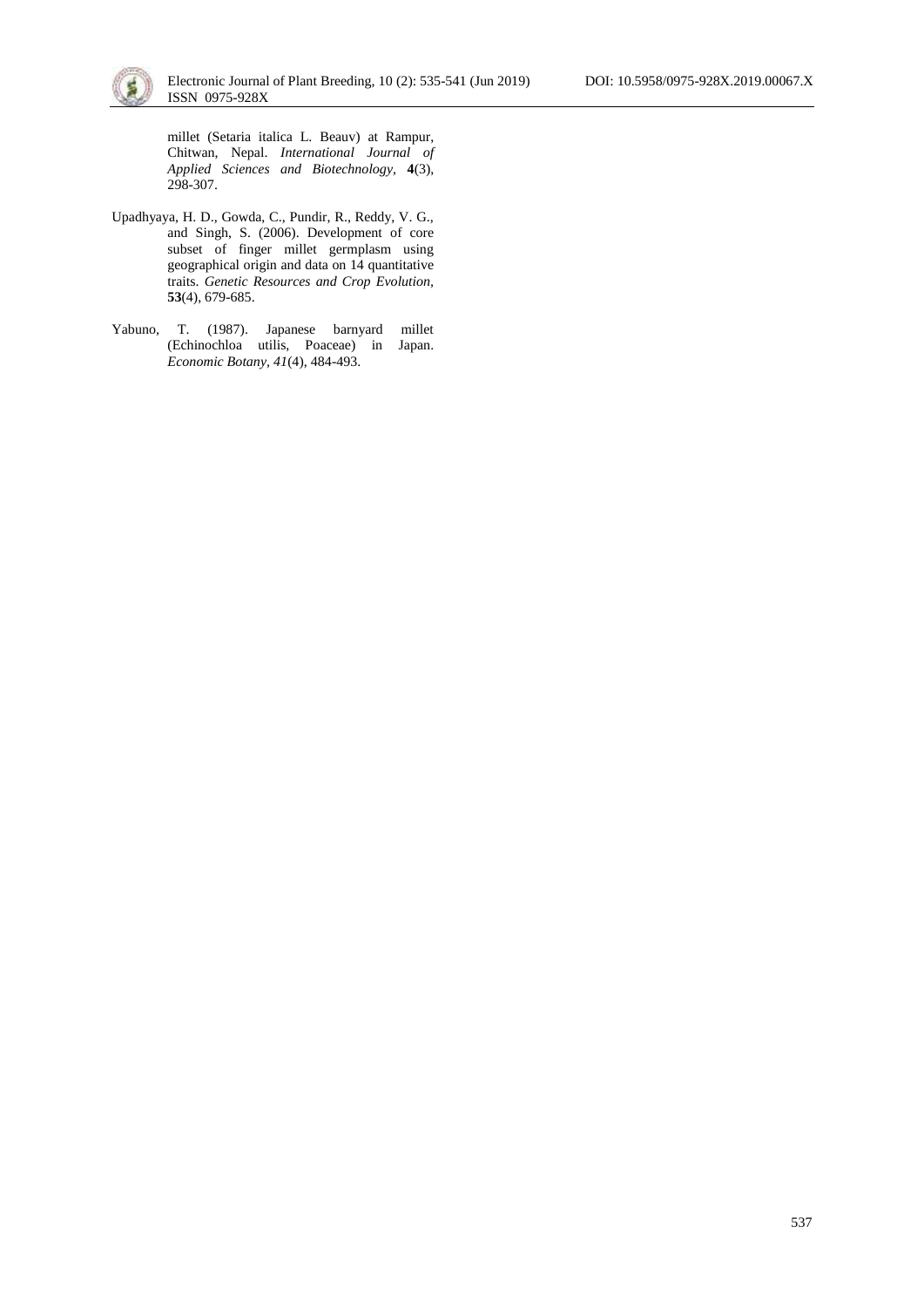

millet (Setaria italica L. Beauv) at Rampur, Chitwan, Nepal. *International Journal of Applied Sciences and Biotechnology,* **4**(3), 298-307.

- Upadhyaya, H. D., Gowda, C., Pundir, R., Reddy, V. G., and Singh, S. (2006). Development of core subset of finger millet germplasm using geographical origin and data on 14 quantitative traits. *Genetic Resources and Crop Evolution,*  **53**(4), 679-685.
- Yabuno, T. (1987). Japanese barnyard millet (Echinochloa utilis, Poaceae) in Japan. *Economic Botany, 41*(4), 484-493.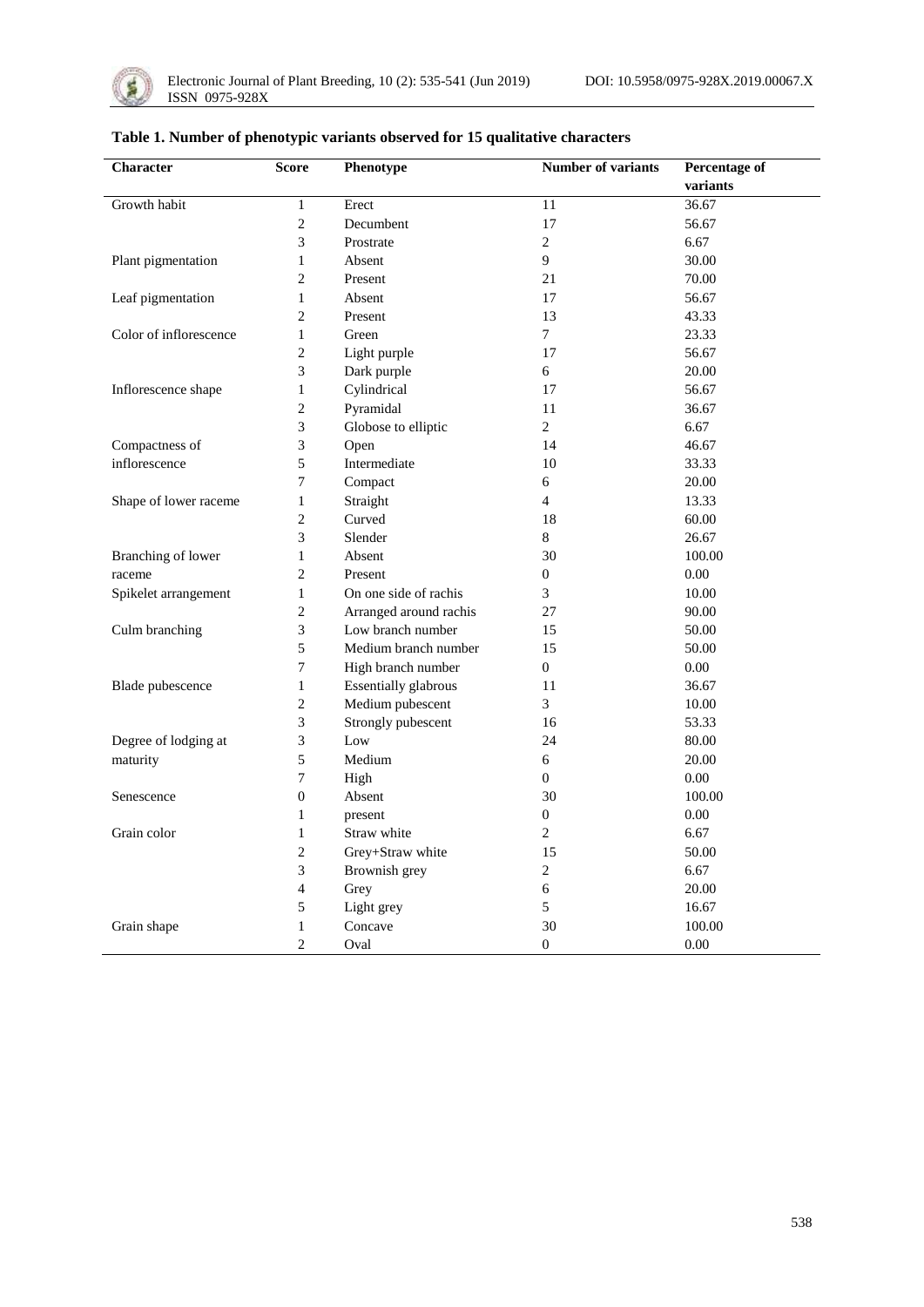

| Character              | <b>Score</b>     | Phenotype                   | <b>Number of variants</b> | <b>Percentage of</b> |
|------------------------|------------------|-----------------------------|---------------------------|----------------------|
|                        |                  |                             |                           | variants             |
| Growth habit           | $\mathbf{1}$     | Erect                       | 11                        | 36.67                |
|                        | $\overline{c}$   | Decumbent                   | 17                        | 56.67                |
|                        | 3                | Prostrate                   | $\overline{2}$            | 6.67                 |
| Plant pigmentation     | $\mathbf{1}$     | Absent                      | 9                         | 30.00                |
|                        | $\overline{c}$   | Present                     | 21                        | 70.00                |
| Leaf pigmentation      | 1                | Absent                      | 17                        | 56.67                |
|                        | 2                | Present                     | 13                        | 43.33                |
| Color of inflorescence | $\mathbf{1}$     | Green                       | $\overline{7}$            | 23.33                |
|                        | $\overline{c}$   | Light purple                | 17                        | 56.67                |
|                        | 3                | Dark purple                 | 6                         | 20.00                |
| Inflorescence shape    | $\,1$            | Cylindrical                 | 17                        | 56.67                |
|                        | $\overline{c}$   | Pyramidal                   | 11                        | 36.67                |
|                        | 3                | Globose to elliptic         | 2                         | 6.67                 |
| Compactness of         | 3                | Open                        | 14                        | 46.67                |
| inflorescence          | 5                | Intermediate                | 10                        | 33.33                |
|                        | 7                | Compact                     | 6                         | 20.00                |
| Shape of lower raceme  | $\mathbf{1}$     | Straight                    | $\overline{4}$            | 13.33                |
|                        | $\overline{c}$   | Curved                      | 18                        | 60.00                |
|                        | 3                | Slender                     | 8                         | 26.67                |
| Branching of lower     | $\mathbf{1}$     | Absent                      | 30                        | 100.00               |
| raceme                 | 2                | Present                     | $\boldsymbol{0}$          | 0.00                 |
| Spikelet arrangement   | $\mathbf{1}$     | On one side of rachis       | 3                         | 10.00                |
|                        | $\overline{c}$   | Arranged around rachis      | 27                        | 90.00                |
| Culm branching         | 3                | Low branch number           | 15                        | 50.00                |
|                        | 5                | Medium branch number        | 15                        | 50.00                |
|                        | 7                | High branch number          | $\overline{0}$            | 0.00                 |
| Blade pubescence       | $\mathbf{1}$     | <b>Essentially glabrous</b> | 11                        | 36.67                |
|                        | 2                | Medium pubescent            | 3                         | 10.00                |
|                        | 3                | Strongly pubescent          | 16                        | 53.33                |
| Degree of lodging at   | 3                | Low                         | 24                        | 80.00                |
| maturity               | 5                | Medium                      | 6                         | 20.00                |
|                        | 7                | High                        | $\overline{0}$            | 0.00                 |
| Senescence             | $\boldsymbol{0}$ | Absent                      | 30                        | 100.00               |
|                        | $\mathbf{1}$     | present                     | $\boldsymbol{0}$          | 0.00                 |
| Grain color            | $\mathbf{1}$     | Straw white                 | $\overline{2}$            | 6.67                 |
|                        | 2                | Grey+Straw white            | 15                        | 50.00                |
|                        | 3                | Brownish grey               | $\overline{2}$            | 6.67                 |
|                        | 4                | Grey                        | 6                         | 20.00                |
|                        | 5                | Light grey                  | 5                         | 16.67                |
| Grain shape            | $\,1$            | Concave                     | 30                        | 100.00               |
|                        | $\overline{c}$   | Oval                        | $\boldsymbol{0}$          | 0.00                 |

### **Table 1. Number of phenotypic variants observed for 15 qualitative characters**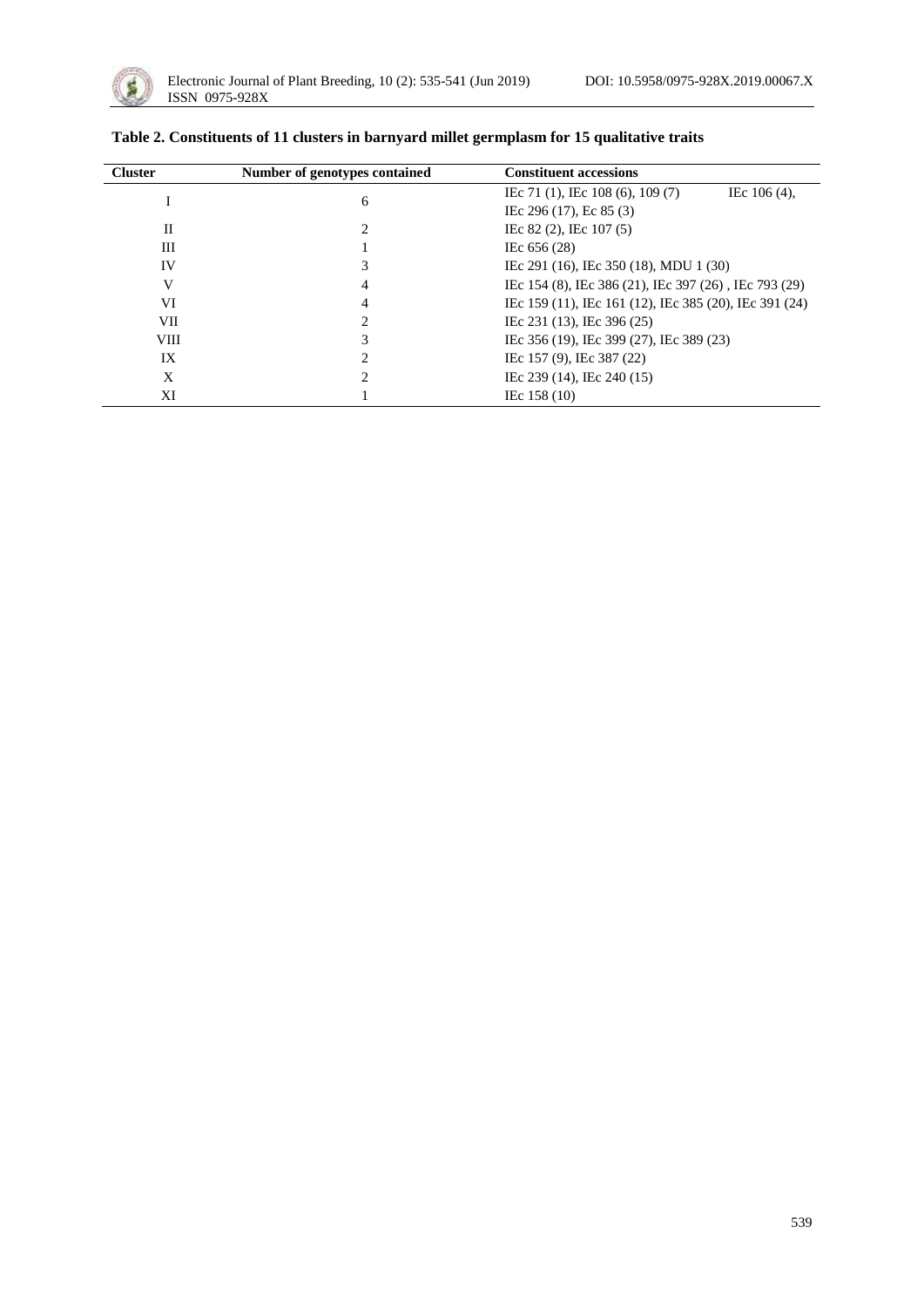

| <b>Cluster</b> | Number of genotypes contained | <b>Constituent accessions</b>                          |
|----------------|-------------------------------|--------------------------------------------------------|
|                | 6                             | IEc 71 (1), IEc 108 (6), 109 (7)<br>IEc $106(4)$ ,     |
|                |                               | IEc 296 (17), Ec 85 (3)                                |
| H              |                               | IEc 82 (2), IEc 107 (5)                                |
| Ш              |                               | IEc 656 (28)                                           |
| IV             |                               | IEc 291 (16), IEc 350 (18), MDU 1 (30)                 |
| V              | 4                             | IEc 154 (8), IEc 386 (21), IEc 397 (26), IEc 793 (29)  |
| VI             | 4                             | IEc 159 (11), IEc 161 (12), IEc 385 (20), IEc 391 (24) |
| VII            |                               | IEc 231 (13), IEc 396 (25)                             |
| <b>VIII</b>    |                               | IEc 356 (19), IEc 399 (27), IEc 389 (23)               |
| IX             |                               | IEc 157 (9), IEc 387 (22)                              |
| X              |                               | IEc 239 (14), IEc 240 (15)                             |
| ΧI             |                               | IEc $158(10)$                                          |

| Table 2. Constituents of 11 clusters in barnyard millet germplasm for 15 qualitative traits |  |  |  |
|---------------------------------------------------------------------------------------------|--|--|--|
|---------------------------------------------------------------------------------------------|--|--|--|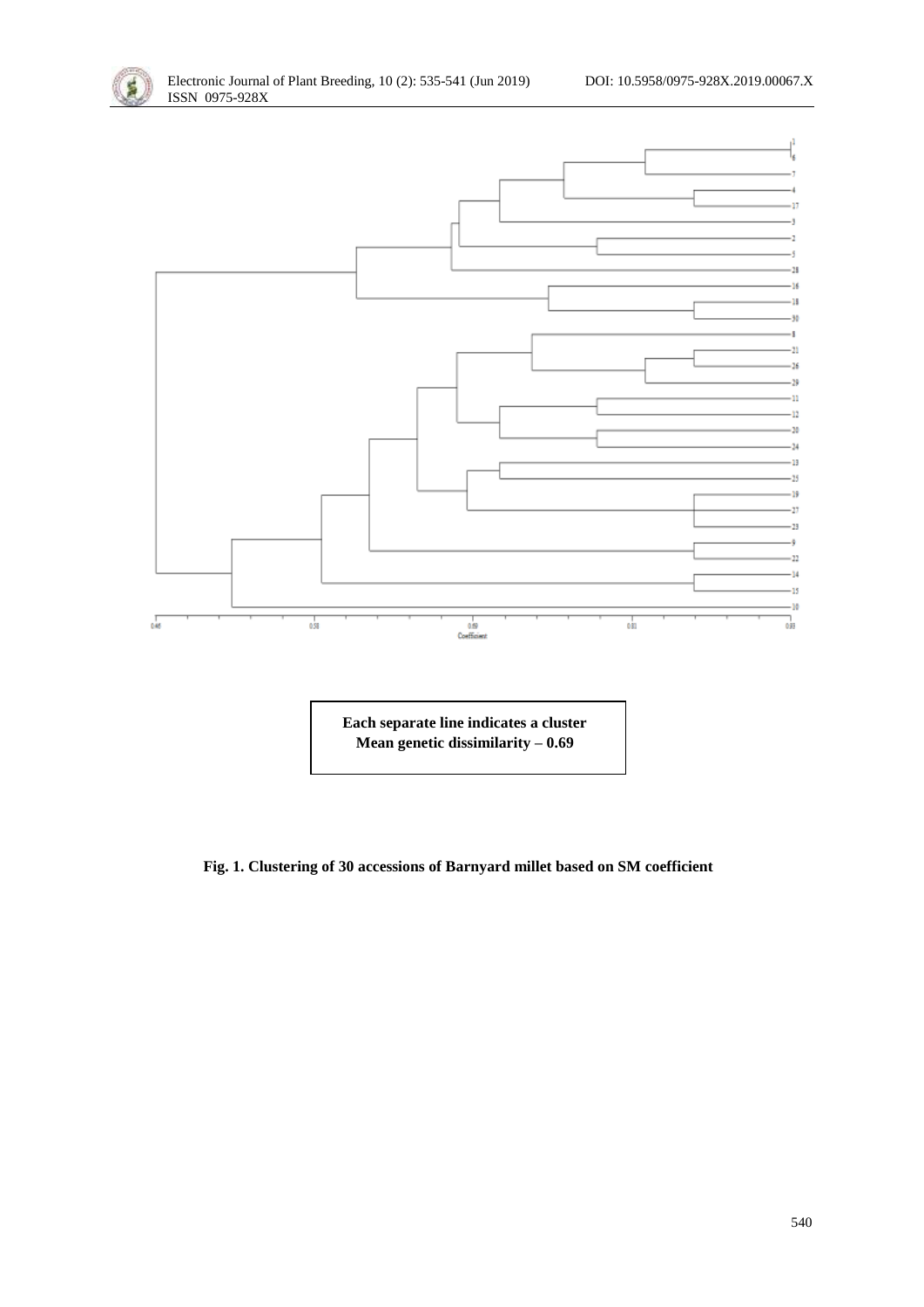



**Each separate line indicates a cluster Mean genetic dissimilarity – 0.69**

### **Fig. 1. Clustering of 30 accessions of Barnyard millet based on SM coefficient**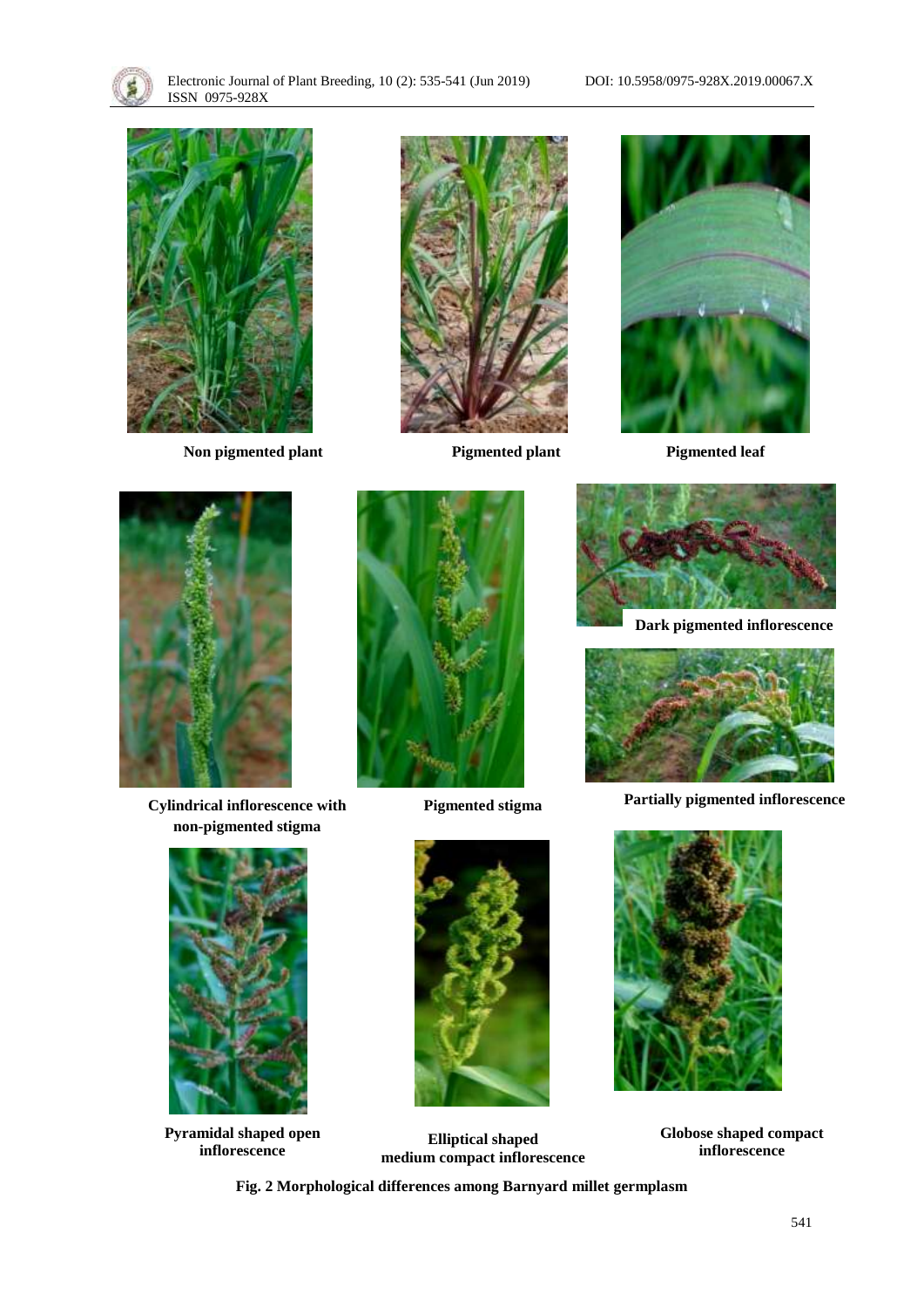



**Non pigmented plant Pigmented plant Pigmented leaf**







**Cylindrical inflorescence with non-pigmented stigma**



**Pyramidal shaped open inflorescence**



**Pigmented stigma**



**Elliptical shaped medium compact inflorescence**



**Dark pigmented inflorescence**



**Partially pigmented inflorescence**



**Globose shaped compact inflorescence**

**Fig. 2 Morphological differences among Barnyard millet germplasm**